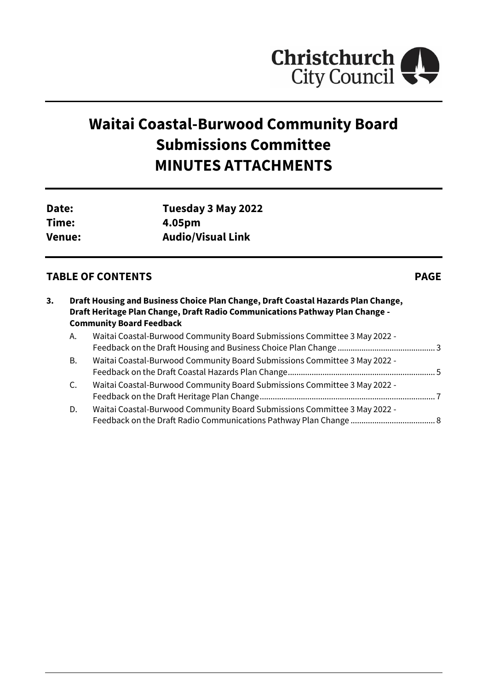

# **Waitai Coastal-Burwood Community Board Submissions Committee MINUTES ATTACHMENTS**

| Date:  | Tuesday 3 May 2022       |
|--------|--------------------------|
| Time:  | 4.05pm                   |
| Venue: | <b>Audio/Visual Link</b> |

## **TABLE OF CONTENTS PAGE**

|  | Draft Housing and Business Choice Plan Change, Draft Coastal Hazards Plan Change,<br>Draft Heritage Plan Change, Draft Radio Communications Pathway Plan Change - |
|--|-------------------------------------------------------------------------------------------------------------------------------------------------------------------|
|  | <b>Community Board Feedback</b>                                                                                                                                   |
|  |                                                                                                                                                                   |

| А.             | Waitai Coastal-Burwood Community Board Submissions Committee 3 May 2022 - |  |
|----------------|---------------------------------------------------------------------------|--|
| <b>B.</b>      | Waitai Coastal-Burwood Community Board Submissions Committee 3 May 2022 - |  |
| $\mathsf{C}$ . | Waitai Coastal-Burwood Community Board Submissions Committee 3 May 2022 - |  |
| D.             | Waitai Coastal-Burwood Community Board Submissions Committee 3 May 2022 - |  |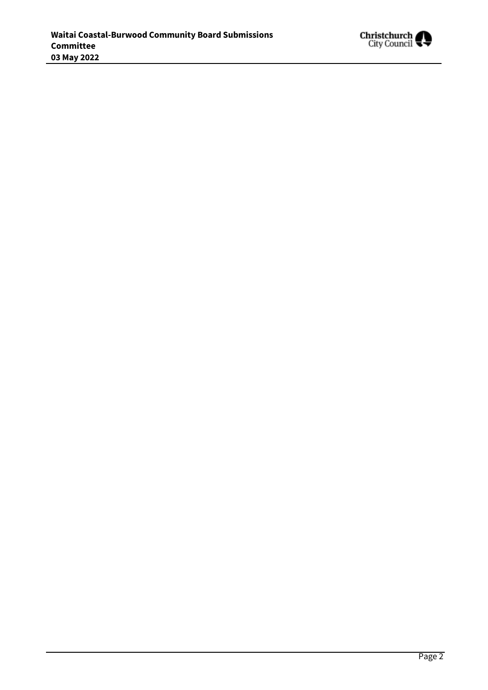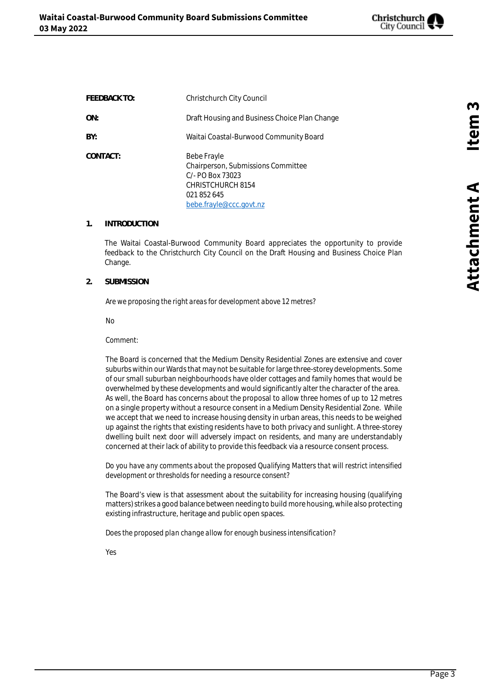<span id="page-2-0"></span>

| <b>FEEDBACK TO:</b> | Christchurch City Council                                                                                                            |
|---------------------|--------------------------------------------------------------------------------------------------------------------------------------|
| ON:                 | Draft Housing and Business Choice Plan Change                                                                                        |
| BY:                 | Waitai Coastal-Burwood Community Board                                                                                               |
| CONTACT:            | Bebe Frayle<br>Chairperson, Submissions Committee<br>C/- PO Box 73023<br>CHRISTCHURCH 8154<br>021 852 645<br>bebe.frayle@ccc.govt.nz |

The Waitai Coastal-Burwood Community Board appreciates the opportunity to provide feedback to the Christchurch City Council on the Draft Housing and Business Choice Plan Change.

### **2. SUBMISSION**

*Are we proposing the right areas for development above 12 metres?*

No

#### *Comment:*

The Board is concerned that the Medium Density Residential Zones are extensive and cover suburbs within our Wards that may not be suitable for large three-storey developments. Some of our small suburban neighbourhoods have older cottages and family homes that would be overwhelmed by these developments and would significantly alter the character of the area. As well, the Board has concerns about the proposal to allow three homes of up to 12 metres on a single property without a resource consent in a Medium Density Residential Zone. While we accept that we need to increase housing density in urban areas, this needs to be weighed up against the rights that existing residents have to both privacy and sunlight. A three-storey dwelling built next door will adversely impact on residents, and many are understandably concerned at their lack of ability to provide this feedback via a resource consent process.

*Do you have any comments about the proposed Qualifying Matters that will restrict intensified development or thresholds for needing a resource consent?*

The Board's view is that assessment about the suitability for increasing housing (qualifying matters) strikes a good balance between needing to build more housing, while also protecting existing infrastructure, heritage and public open spaces.

*Does the proposed plan change allow for enough business intensification?*

Yes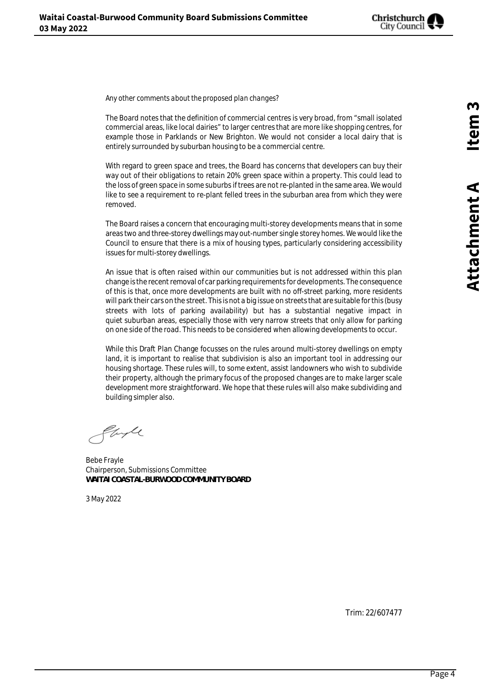*Any other comments about the proposed plan changes?*

The Board notes that the definition of commercial centres is very broad, from "small isolated commercial areas, like local dairies" to larger centres that are more like shopping centres, for example those in Parklands or New Brighton. We would not consider a local dairy that is entirely surrounded by suburban housing to be a commercial centre.

With regard to green space and trees, the Board has concerns that developers can buy their way out of their obligations to retain 20% green space within a property. This could lead to the loss of green space in some suburbs if trees are not re-planted in the same area. We would like to see a requirement to re-plant felled trees in the suburban area from which they were removed.

The Board raises a concern that encouraging multi-storey developments means that in some areas two and three-storey dwellings may out-number single storey homes. We would like the Council to ensure that there is a mix of housing types, particularly considering accessibility issues for multi-storey dwellings.

An issue that is often raised within our communities but is not addressed within this plan change is the recent removal of car parking requirements for developments. The consequence of this is that, once more developments are built with no off-street parking, more residents will park their cars on the street. This is not a big issue on streets that are suitable for this (busy streets with lots of parking availability) but has a substantial negative impact in quiet suburban areas, especially those with very narrow streets that only allow for parking on one side of the road. This needs to be considered when allowing developments to occur.

While this Draft Plan Change focusses on the rules around multi-storey dwellings on empty land, it is important to realise that subdivision is also an important tool in addressing our housing shortage. These rules will, to some extent, assist landowners who wish to subdivide their property, although the primary focus of the proposed changes are to make larger scale development more straightforward. We hope that these rules will also make subdividing and building simpler also.

Engle

Bebe Frayle Chairperson, Submissions Committee **WAITAI COASTAL-BURWOOD COMMUNITY BOARD**

3 May 2022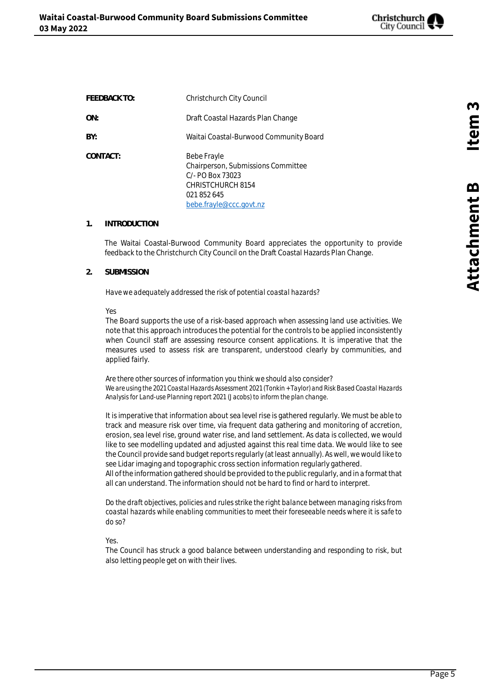<span id="page-4-0"></span>

| <b>FEEDBACK TO:</b> | Christchurch City Council                                                                                                            |
|---------------------|--------------------------------------------------------------------------------------------------------------------------------------|
| ON:                 | Draft Coastal Hazards Plan Change                                                                                                    |
| BY:                 | Waitai Coastal-Burwood Community Board                                                                                               |
| CONTACT:            | Bebe Frayle<br>Chairperson, Submissions Committee<br>C/- PO Box 73023<br>CHRISTCHURCH 8154<br>021 852 645<br>bebe.frayle@ccc.govt.nz |

The Waitai Coastal-Burwood Community Board appreciates the opportunity to provide feedback to the Christchurch City Council on the Draft Coastal Hazards Plan Change.

### **2. SUBMISSION**

*Have we adequately addressed the risk of potential coastal hazards?*

#### Yes

The Board supports the use of a risk-based approach when assessing land use activities. We note that this approach introduces the potential for the controls to be applied inconsistently when Council staff are assessing resource consent applications. It is imperative that the measures used to assess risk are transparent, understood clearly by communities, and applied fairly.

*Are there other sources of information you think we should also consider? We are using the 2021 Coastal Hazards Assessment 2021 (Tonkin + Taylor) and Risk Based Coastal Hazards Analysis for Land-use Planning report 2021 (Jacobs) to inform the plan change.*

It is imperative that information about sea level rise is gathered regularly. We must be able to track and measure risk over time, via frequent data gathering and monitoring of accretion, erosion, sea level rise, ground water rise, and land settlement. As data is collected, we would like to see modelling updated and adjusted against this real time data. We would like to see the Council provide sand budget reports regularly (at least annually). As well, we would like to see Lidar imaging and topographic cross section information regularly gathered.

All of the information gathered should be provided to the public regularly, and in a format that all can understand. The information should not be hard to find or hard to interpret.

*Do the draft objectives, policies and rules strike the right balance between managing risks from coastal hazards while enabling communities to meet their foreseeable needs where it is safe to do so?*

Yes.

The Council has struck a good balance between understanding and responding to risk, but also letting people get on with their lives.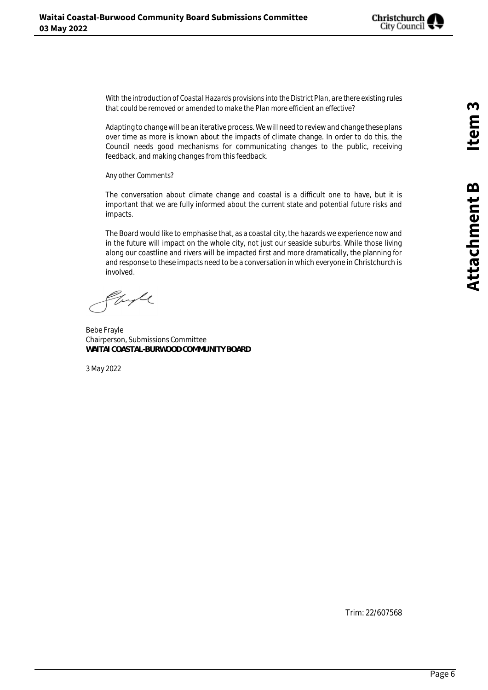*With the introduction of Coastal Hazards provisions into the District Plan, are there existing rules that could be removed or amended to make the Plan more efficient an effective?*

Adapting to change will be an iterative process. We will need to review and change these plans over time as more is known about the impacts of climate change. In order to do this, the Council needs good mechanisms for communicating changes to the public, receiving feedback, and making changes from this feedback.

#### *Any other Comments?*

The conversation about climate change and coastal is a difficult one to have, but it is important that we are fully informed about the current state and potential future risks and impacts.

The Board would like to emphasise that, as a coastal city, the hazards we experience now and in the future will impact on the whole city, not just our seaside suburbs. While those living along our coastline and rivers will be impacted first and more dramatically, the planning for and response to these impacts need to be a conversation in which everyone in Christchurch is involved.

Type

Bebe Frayle Chairperson, Submissions Committee **WAITAI COASTAL-BURWOOD COMMUNITY BOARD**

3 May 2022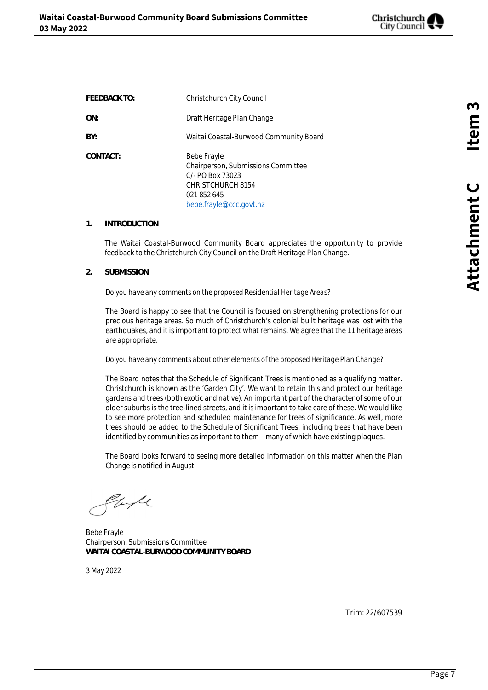<span id="page-6-0"></span>

| <b>FEEDBACK TO:</b> | Christchurch City Council                                                                                                              |
|---------------------|----------------------------------------------------------------------------------------------------------------------------------------|
| ON:                 | Draft Heritage Plan Change                                                                                                             |
| BY:                 | Waitai Coastal-Burwood Community Board                                                                                                 |
| CONTACT:            | Bebe Frayle<br>Chairperson, Submissions Committee<br>$C/-$ PO Box 73023<br>CHRISTCHURCH 8154<br>021 852 645<br>bebe.frayle@ccc.govt.nz |

The Waitai Coastal-Burwood Community Board appreciates the opportunity to provide feedback to the Christchurch City Council on the Draft Heritage Plan Change.

### **2. SUBMISSION**

*Do you have any comments on the proposed Residential Heritage Areas?*

The Board is happy to see that the Council is focused on strengthening protections for our precious heritage areas. So much of Christchurch's colonial built heritage was lost with the earthquakes, and it is important to protect what remains. We agree that the 11 heritage areas are appropriate.

#### *Do you have any comments about other elements of the proposed Heritage Plan Change?*

The Board notes that the Schedule of Significant Trees is mentioned as a qualifying matter. Christchurch is known as the 'Garden City'. We want to retain this and protect our heritage gardens and trees (both exotic and native). An important part of the character of some of our older suburbs is the tree-lined streets, and it is important to take care of these. We would like to see more protection and scheduled maintenance for trees of significance. As well, more trees should be added to the Schedule of Significant Trees, including trees that have been identified by communities as important to them – many of which have existing plaques.

The Board looks forward to seeing more detailed information on this matter when the Plan Change is notified in August.

Engle

Bebe Frayle Chairperson, Submissions Committee **WAITAI COASTAL-BURWOOD COMMUNITY BOARD**

3 May 2022

**Attachment C Item 3** Item<sub>3</sub> Attachment C